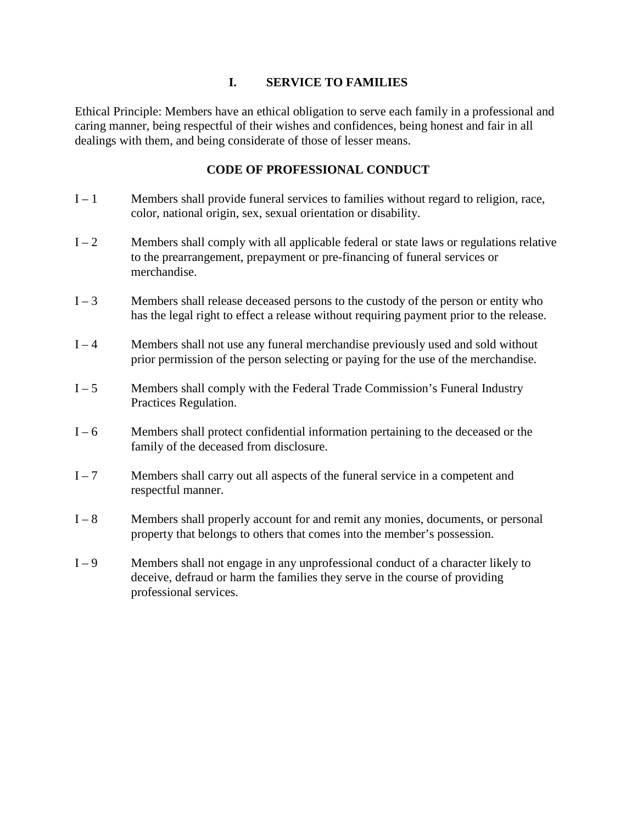# **I. SERVICE TO FAMILIES**

Ethical Principle: Members have an ethical obligation to serve each family in a professional and caring manner, being respectful of their wishes and confidences, being honest and fair in all dealings with them, and being considerate of those of lesser means.

- $I 1$  Members shall provide funeral services to families without regard to religion, race, color, national origin, sex, sexual orientation or disability.
- $I 2$  Members shall comply with all applicable federal or state laws or regulations relative to the prearrangement, prepayment or pre-financing of funeral services or merchandise.
- $I 3$  Members shall release deceased persons to the custody of the person or entity who has the legal right to effect a release without requiring payment prior to the release.
- I 4 Members shall not use any funeral merchandise previously used and sold without prior permission of the person selecting or paying for the use of the merchandise.
- I 5 Members shall comply with the Federal Trade Commission's Funeral Industry Practices Regulation.
- I 6 Members shall protect confidential information pertaining to the deceased or the family of the deceased from disclosure.
- I 7 Members shall carry out all aspects of the funeral service in a competent and respectful manner.
- I 8 Members shall properly account for and remit any monies, documents, or personal property that belongs to others that comes into the member's possession.
- I 9 Members shall not engage in any unprofessional conduct of a character likely to deceive, defraud or harm the families they serve in the course of providing professional services.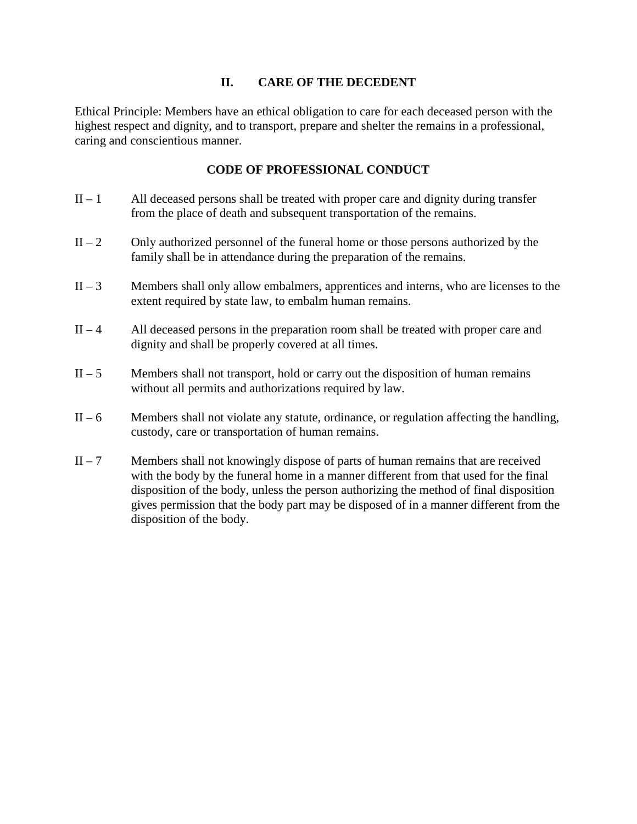#### **II. CARE OF THE DECEDENT**

Ethical Principle: Members have an ethical obligation to care for each deceased person with the highest respect and dignity, and to transport, prepare and shelter the remains in a professional, caring and conscientious manner.

- $II 1$  All deceased persons shall be treated with proper care and dignity during transfer from the place of death and subsequent transportation of the remains.
- $II 2$  Only authorized personnel of the funeral home or those persons authorized by the family shall be in attendance during the preparation of the remains.
- $II 3$  Members shall only allow embalmers, apprentices and interns, who are licenses to the extent required by state law, to embalm human remains.
- $II 4$  All deceased persons in the preparation room shall be treated with proper care and dignity and shall be properly covered at all times.
- $II 5$  Members shall not transport, hold or carry out the disposition of human remains without all permits and authorizations required by law.
- $II 6$  Members shall not violate any statute, ordinance, or regulation affecting the handling, custody, care or transportation of human remains.
- $II 7$  Members shall not knowingly dispose of parts of human remains that are received with the body by the funeral home in a manner different from that used for the final disposition of the body, unless the person authorizing the method of final disposition gives permission that the body part may be disposed of in a manner different from the disposition of the body.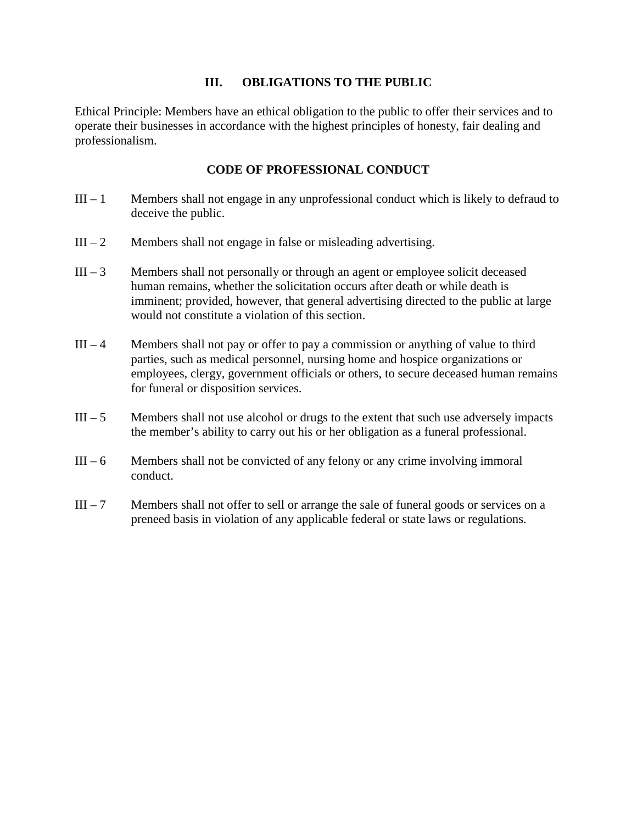#### **III. OBLIGATIONS TO THE PUBLIC**

Ethical Principle: Members have an ethical obligation to the public to offer their services and to operate their businesses in accordance with the highest principles of honesty, fair dealing and professionalism.

- $III 1$  Members shall not engage in any unprofessional conduct which is likely to defraud to deceive the public.
- $III 2$  Members shall not engage in false or misleading advertising.
- $III 3$  Members shall not personally or through an agent or employee solicit deceased human remains, whether the solicitation occurs after death or while death is imminent; provided, however, that general advertising directed to the public at large would not constitute a violation of this section.
- $III 4$  Members shall not pay or offer to pay a commission or anything of value to third parties, such as medical personnel, nursing home and hospice organizations or employees, clergy, government officials or others, to secure deceased human remains for funeral or disposition services.
- $III 5$  Members shall not use alcohol or drugs to the extent that such use adversely impacts the member's ability to carry out his or her obligation as a funeral professional.
- $III 6$  Members shall not be convicted of any felony or any crime involving immoral conduct.
- $III 7$  Members shall not offer to sell or arrange the sale of funeral goods or services on a preneed basis in violation of any applicable federal or state laws or regulations.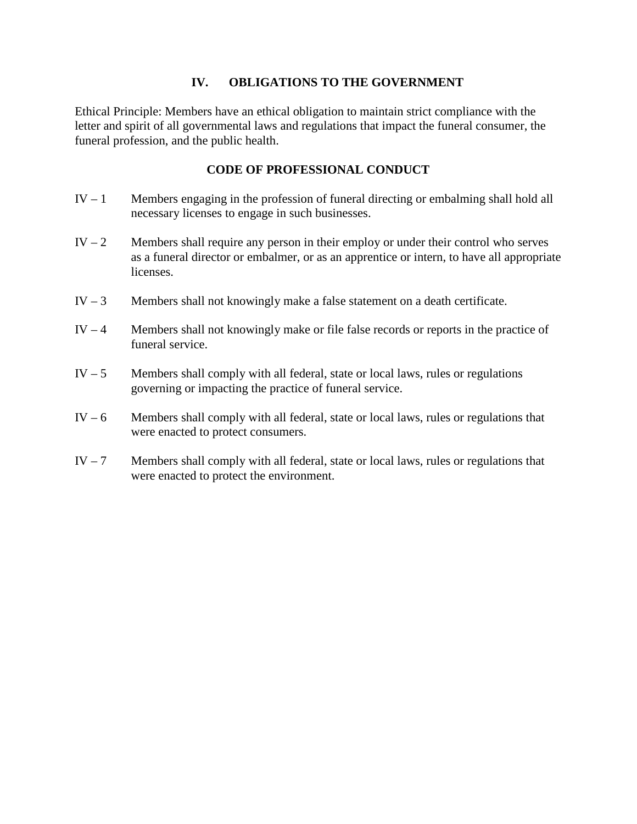#### **IV. OBLIGATIONS TO THE GOVERNMENT**

Ethical Principle: Members have an ethical obligation to maintain strict compliance with the letter and spirit of all governmental laws and regulations that impact the funeral consumer, the funeral profession, and the public health.

- $IV 1$  Members engaging in the profession of funeral directing or embalming shall hold all necessary licenses to engage in such businesses.
- IV  $-2$  Members shall require any person in their employ or under their control who serves as a funeral director or embalmer, or as an apprentice or intern, to have all appropriate licenses.
- IV 3 Members shall not knowingly make a false statement on a death certificate.
- IV  $-4$  Members shall not knowingly make or file false records or reports in the practice of funeral service.
- IV  $-5$  Members shall comply with all federal, state or local laws, rules or regulations governing or impacting the practice of funeral service.
- $IV 6$  Members shall comply with all federal, state or local laws, rules or regulations that were enacted to protect consumers.
- IV  $-7$  Members shall comply with all federal, state or local laws, rules or regulations that were enacted to protect the environment.